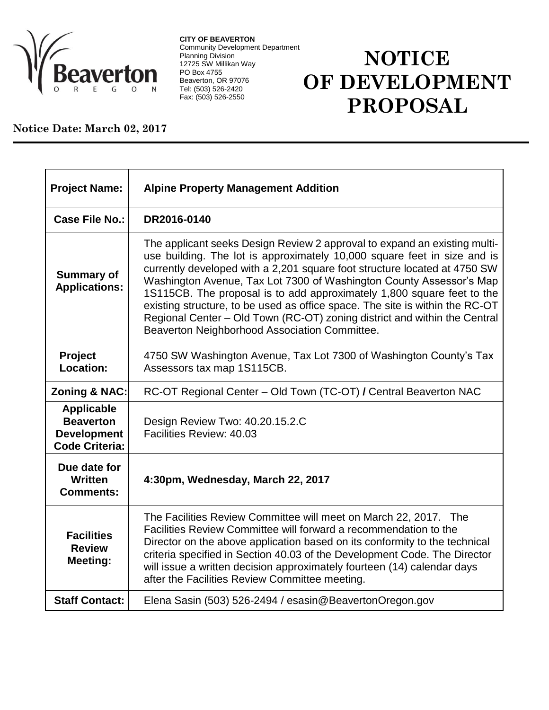

**CITY OF BEAVERTON** Community Development Department Planning Division 12725 SW Millikan Way PO Box 4755 Beaverton, OR 97076 Tel: (503) 526-2420 Fax: (503) 526-2550

## **NOTICE OF DEVELOPMENT PROPOSAL**

## **Notice Date: March 02, 2017**

| <b>Project Name:</b>                                                                 | <b>Alpine Property Management Addition</b>                                                                                                                                                                                                                                                                                                                                                                                                                                                                                                                                                        |
|--------------------------------------------------------------------------------------|---------------------------------------------------------------------------------------------------------------------------------------------------------------------------------------------------------------------------------------------------------------------------------------------------------------------------------------------------------------------------------------------------------------------------------------------------------------------------------------------------------------------------------------------------------------------------------------------------|
| Case File No.:                                                                       | DR2016-0140                                                                                                                                                                                                                                                                                                                                                                                                                                                                                                                                                                                       |
| <b>Summary of</b><br><b>Applications:</b>                                            | The applicant seeks Design Review 2 approval to expand an existing multi-<br>use building. The lot is approximately 10,000 square feet in size and is<br>currently developed with a 2,201 square foot structure located at 4750 SW<br>Washington Avenue, Tax Lot 7300 of Washington County Assessor's Map<br>1S115CB. The proposal is to add approximately 1,800 square feet to the<br>existing structure, to be used as office space. The site is within the RC-OT<br>Regional Center - Old Town (RC-OT) zoning district and within the Central<br>Beaverton Neighborhood Association Committee. |
| Project<br>Location:                                                                 | 4750 SW Washington Avenue, Tax Lot 7300 of Washington County's Tax<br>Assessors tax map 1S115CB.                                                                                                                                                                                                                                                                                                                                                                                                                                                                                                  |
| <b>Zoning &amp; NAC:</b>                                                             | RC-OT Regional Center - Old Town (TC-OT) / Central Beaverton NAC                                                                                                                                                                                                                                                                                                                                                                                                                                                                                                                                  |
| <b>Applicable</b><br><b>Beaverton</b><br><b>Development</b><br><b>Code Criteria:</b> | Design Review Two: 40.20.15.2.C<br>Facilities Review: 40.03                                                                                                                                                                                                                                                                                                                                                                                                                                                                                                                                       |
| Due date for<br><b>Written</b><br><b>Comments:</b>                                   | 4:30pm, Wednesday, March 22, 2017                                                                                                                                                                                                                                                                                                                                                                                                                                                                                                                                                                 |
| <b>Facilities</b><br><b>Review</b><br>Meeting:                                       | The Facilities Review Committee will meet on March 22, 2017. The<br>Facilities Review Committee will forward a recommendation to the<br>Director on the above application based on its conformity to the technical<br>criteria specified in Section 40.03 of the Development Code. The Director<br>will issue a written decision approximately fourteen (14) calendar days<br>after the Facilities Review Committee meeting.                                                                                                                                                                      |
| <b>Staff Contact:</b>                                                                | Elena Sasin (503) 526-2494 / esasin@BeavertonOregon.gov                                                                                                                                                                                                                                                                                                                                                                                                                                                                                                                                           |